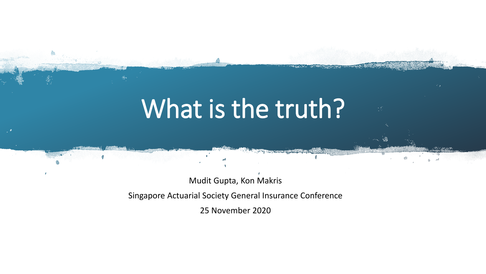# What is the truth?

Mudit Gupta, Kon Makris

Singapore Actuarial Society General Insurance Conference

25 November 2020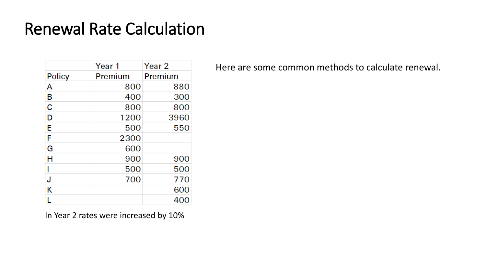|               | Year 1  | Year <sub>2</sub> |
|---------------|---------|-------------------|
| <b>Policy</b> | Premium | Premium           |
| А             | 800     | 880               |
| В             | 400     | 300               |
| C             | 800     | 800               |
| D             | 1200    | 3960              |
| E             | 500     | 550               |
| F             | 2300    |                   |
| G             | 600     |                   |
| H             | 900     | 900               |
|               | 500     | 500               |
| J             | 700     | 770               |
| Κ             |         | 600               |
|               |         | 400               |

Here are some common methods to calculate renewal.

In Year 2 rates were increased by 10%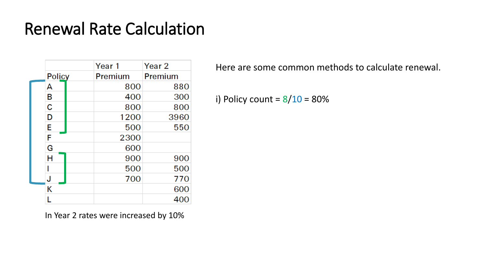|               | Year 1  | Year <sub>2</sub> |
|---------------|---------|-------------------|
| <b>Policy</b> | Premium | Premium           |
| А             | 800     | 880               |
| В             | 400     | 300               |
| C             | 800     | 800               |
| D             | 1200    | 3960              |
| E             | 500     | 550               |
| F             | 2300    |                   |
| G             | 600     |                   |
| Н             | 900     | 900               |
|               | 500     | 500               |
| J             | 700     | 770               |
| Κ             |         | 600               |
|               |         | 400               |

Here are some common methods to calculate renewal.

i) Policy count =  $8/10 = 80\%$ 

In Year 2 rates were increased by 10%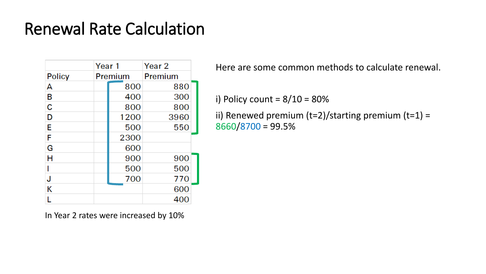|               | Year 1 |         | Year <sub>2</sub> |  |
|---------------|--------|---------|-------------------|--|
| <b>Policy</b> |        | Premium | Premium           |  |
| A             |        | 800     | 880               |  |
| В             |        | 400     | 300               |  |
| C             |        | 800     | 800               |  |
| D             |        | 1200    | 3960              |  |
| E             |        | 500     | 550               |  |
| F             |        | 2300    |                   |  |
| G             |        | 600     |                   |  |
| н             |        | 900     | 900               |  |
|               |        | 500     | 500               |  |
| J             |        | 700     | 770               |  |
| Κ             |        |         | 600               |  |
|               |        |         | 400               |  |

Here are some common methods to calculate renewal.

i) Policy count =  $8/10 = 80\%$ 

ii) Renewed premium  $(t=2)/$ starting premium  $(t=1)$  = 8660/8700 = 99.5%

In Year 2 rates were increased by 10%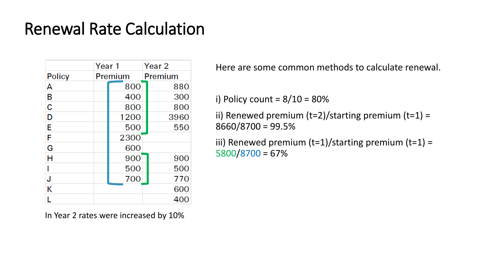|               | Year 1 |         | Year <sub>2</sub> |
|---------------|--------|---------|-------------------|
| <b>Policy</b> |        | Premium | Premium           |
| А             |        | 800     | 880               |
| В             |        | 400     | 300               |
| C             |        | 800     | 800               |
| D             |        | 1200    | 3960              |
| E             |        | 500     | 550               |
| F             |        | 2300    |                   |
| G             |        | 600     |                   |
| Н             |        | 900     | 900               |
|               |        | 500     | 500               |
| J             |        | 700     | 770               |
| Κ             |        |         | 600               |
|               |        |         | 400               |

In Year 2 rates were increased by 10%

Here are some common methods to calculate renewal.

i) Policy count =  $8/10 = 80\%$ 

ii) Renewed premium  $(t=2)/$ starting premium  $(t=1)$  = 8660/8700 = 99.5%

iii) Renewed premium  $(t=1)/$ starting premium  $(t=1)$  = 5800/8700 = 67%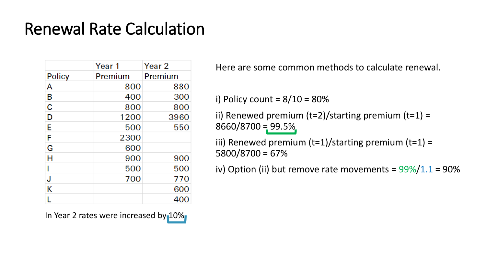|               | Year 1  | Year 2  |
|---------------|---------|---------|
| <b>Policy</b> | Premium | Premium |
| А             | 800     | 880     |
| в             | 400     | 300     |
| C             | 800     | 800     |
| D             | 1200    | 3960    |
| E             | 500     | 550     |
| F             | 2300    |         |
| G             | 600     |         |
| Н             | 900     | 900     |
|               | 500     | 500     |
| J             | 700     | 770     |
| Κ             |         | 600     |
|               |         | 400     |

In Year 2 rates were increased by 10%

Here are some common methods to calculate renewal.

i) Policy count =  $8/10 = 80\%$ 

ii) Renewed premium  $(t=2)/$ starting premium  $(t=1)$  =  $8660/8700 = 99.5\%$ 

iii) Renewed premium  $(t=1)/$ starting premium  $(t=1)$  = 5800/8700 = 67%

iv) Option (ii) but remove rate movements =  $99\%/1.1 = 90\%$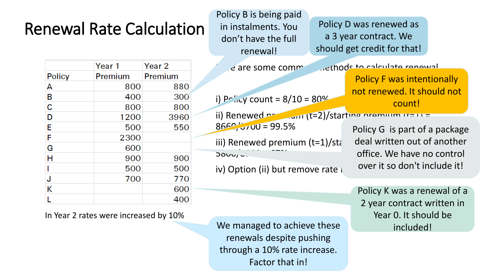Policy B is being paid in instalments. You don't have the full renewal!

 $8660/3700 = 99.5%$ 

 $J000/2$ .

Policy D was renewed as a 3 year contract. We should get credit for that!

|               | Year 1  | Year <sub>2</sub> |  |
|---------------|---------|-------------------|--|
| <b>Policy</b> | Premium | Premium           |  |
| А             | 800     | 880               |  |
| B             | 400     | 300               |  |
| C             | 800     | 800               |  |
| D             | 1200    | 3960              |  |
| E             | 500     | 550               |  |
| F             | 2300    |                   |  |
| G             | 600     |                   |  |
| Н             | 900     | 900               |  |
|               | 500     | 500               |  |
| J             | 700     | 770               |  |
| Κ             |         | 600               |  |
|               |         | 400               |  |

In Year 2 rates were increased by 10%

d are some common dethods to calculate renewal. i) Policy count =  $8/10 = 80\%$ ii) Renewed premium (t=2)/starting premium  $tr=11$  = Policy F was intentionally not renewed. It should not count!

> Policy G is part of a package deal written out of another office. We have no control over it so don't include it!

Policy K was a renewal of a 2 year contract written in Year 0. It should be included!

We managed to achieve these renewals despite pushing through a 10% rate increase. Factor that in!

iii) Renewed premium  $(t=1)/$ starti

iv) Option (ii) but remove rate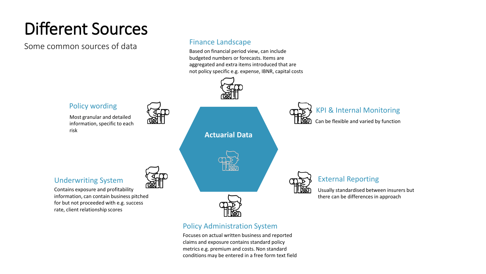## Different Sources

Some common sources of data

#### Finance Landscape

Based on financial period view, can include budgeted numbers or forecasts. Items are aggregated and extra items introduced that are not policy specific e.g. expense, IBNR, capital costs



#### Policy Administration System

Focuses on actual written business and reported claims and exposure contains standard policy metrics e.g. premium and costs. Non standard conditions may be entered in a free form text field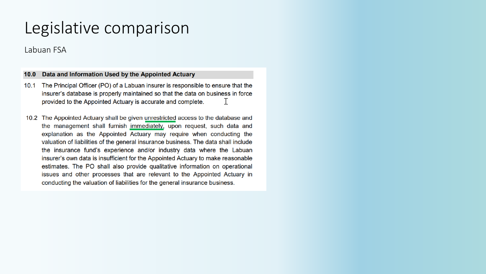## Legislative comparison

Labuan FSA

#### $10.0$ Data and Information Used by the Appointed Actuary

- 10.1 The Principal Officer (PO) of a Labuan insurer is responsible to ensure that the insurer's database is properly maintained so that the data on business in force provided to the Appointed Actuary is accurate and complete.  $\top$
- 10.2 The Appointed Actuary shall be given unrestricted access to the database and the management shall furnish immediately, upon request, such data and explanation as the Appointed Actuary may require when conducting the valuation of liabilities of the general insurance business. The data shall include the insurance fund's experience and/or industry data where the Labuan insurer's own data is insufficient for the Appointed Actuary to make reasonable estimates. The PO shall also provide qualitative information on operational issues and other processes that are relevant to the Appointed Actuary in conducting the valuation of liabilities for the general insurance business.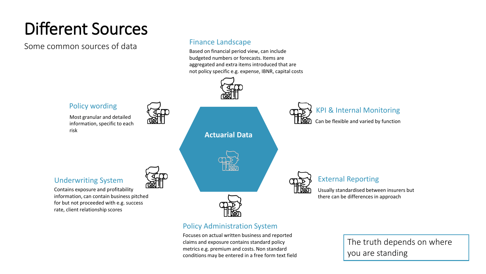## Different Sources

Some common sources of data

#### Finance Landscape

Based on financial period view, can include budgeted numbers or forecasts. Items are aggregated and extra items introduced that are not policy specific e.g. expense, IBNR, capital costs



#### Policy Administration System

Focuses on actual written business and reported claims and exposure contains standard policy metrics e.g. premium and costs. Non standard conditions may be entered in a free form text field

The truth depends on where you are standing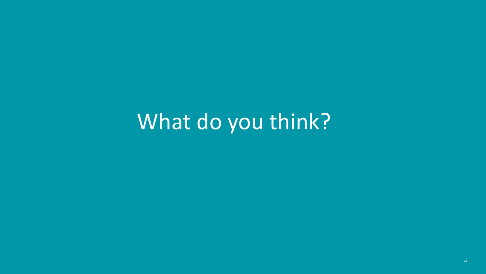## What do you think?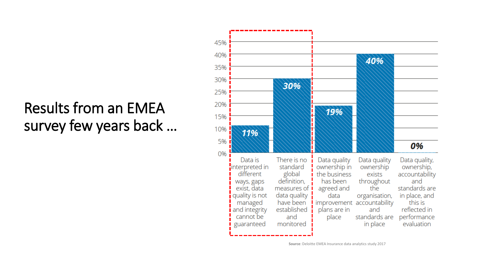### Results from an EMEA survey few years back …



**Source**: Deloitte EMEA Insurance data analytics study 2017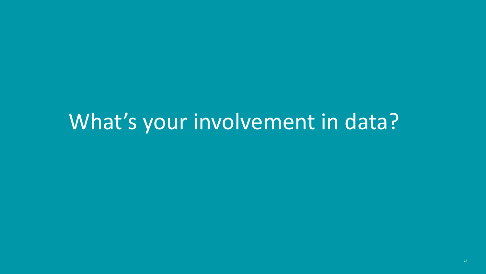## What's your involvement in data?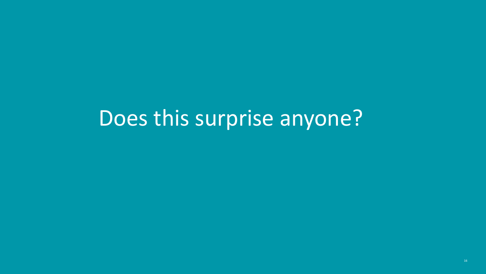# Does this surprise anyone?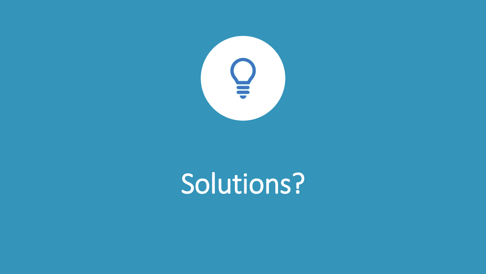

# Solutions?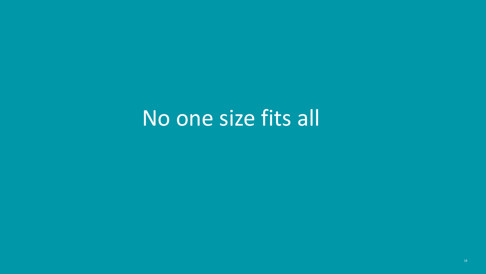## No one size fits all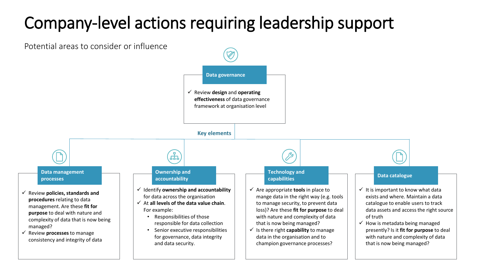## Company-level actions requiring leadership support

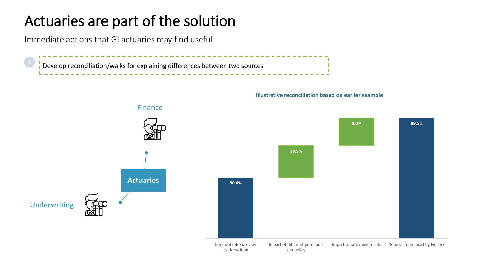### Actuaries are part of the solution

Immediate actions that GI actuaries may find useful

Develop reconciliation/walks for explaining differences between two sources



#### **Illustrative reconciliation based on earlier example**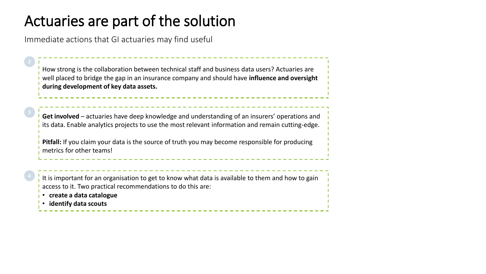### Actuaries are part of the solution

Immediate actions that GI actuaries may find useful

How strong is the collaboration between technical staff and business data users? Actuaries are well placed to bridge the gap in an insurance company and should have **influence and oversight during development of key data assets.**

**Get involved** – actuaries have deep knowledge and understanding of an insurers' operations and its data. Enable analytics projects to use the most relevant information and remain cutting-edge.

**Pitfall:** If you claim your data is the source of truth you may become responsible for producing metrics for other teams!

It is important for an organisation to get to know what data is available to them and how to gain access to it. Two practical recommendations to do this are:

- **create a data catalogue**
- **identify data scouts**